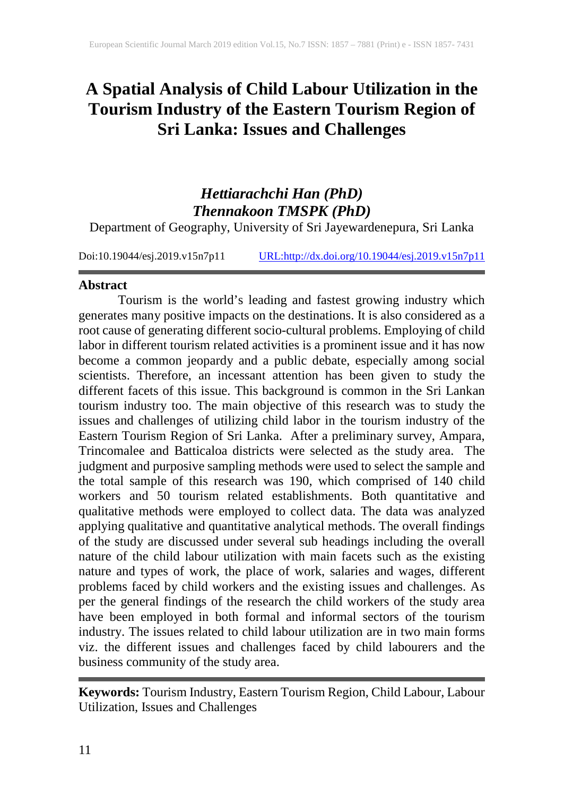# **A Spatial Analysis of Child Labour Utilization in the Tourism Industry of the Eastern Tourism Region of Sri Lanka: Issues and Challenges**

# *Hettiarachchi Han (PhD) Thennakoon TMSPK (PhD)*

Department of Geography, University of Sri Jayewardenepura, Sri Lanka

Doi:10.19044/esj.2019.v15n7p11 [URL:http://dx.doi.org/10.19044/esj.2019.v15n7p11](http://dx.doi.org/10.19044/esj.2019.v15n7p11)

### **Abstract**

Tourism is the world's leading and fastest growing industry which generates many positive impacts on the destinations. It is also considered as a root cause of generating different socio-cultural problems. Employing of child labor in different tourism related activities is a prominent issue and it has now become a common jeopardy and a public debate, especially among social scientists. Therefore, an incessant attention has been given to study the different facets of this issue. This background is common in the Sri Lankan tourism industry too. The main objective of this research was to study the issues and challenges of utilizing child labor in the tourism industry of the Eastern Tourism Region of Sri Lanka. After a preliminary survey, Ampara, Trincomalee and Batticaloa districts were selected as the study area. The judgment and purposive sampling methods were used to select the sample and the total sample of this research was 190, which comprised of 140 child workers and 50 tourism related establishments. Both quantitative and qualitative methods were employed to collect data. The data was analyzed applying qualitative and quantitative analytical methods. The overall findings of the study are discussed under several sub headings including the overall nature of the child labour utilization with main facets such as the existing nature and types of work, the place of work, salaries and wages, different problems faced by child workers and the existing issues and challenges. As per the general findings of the research the child workers of the study area have been employed in both formal and informal sectors of the tourism industry. The issues related to child labour utilization are in two main forms viz. the different issues and challenges faced by child labourers and the business community of the study area.

**Keywords:** Tourism Industry, Eastern Tourism Region, Child Labour, Labour Utilization, Issues and Challenges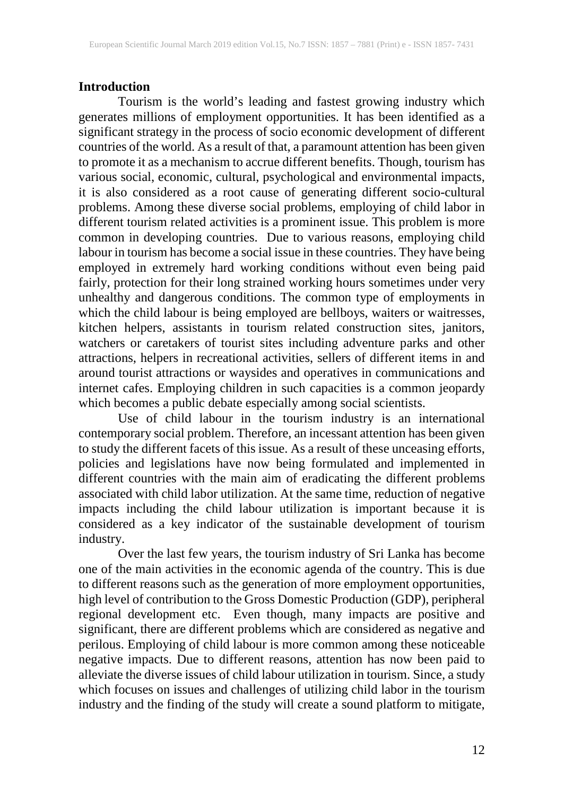#### **Introduction**

Tourism is the world's leading and fastest growing industry which generates millions of employment opportunities. It has been identified as a significant strategy in the process of socio economic development of different countries of the world. As a result of that, a paramount attention has been given to promote it as a mechanism to accrue different benefits. Though, tourism has various social, economic, cultural, psychological and environmental impacts, it is also considered as a root cause of generating different socio-cultural problems. Among these diverse social problems, employing of child labor in different tourism related activities is a prominent issue. This problem is more common in developing countries. Due to various reasons, employing child labour in tourism has become a social issue in these countries. They have being employed in extremely hard working conditions without even being paid fairly, protection for their long strained working hours sometimes under very unhealthy and dangerous conditions. The common type of employments in which the child labour is being employed are bellboys, waiters or waitresses, kitchen helpers, assistants in tourism related construction sites, janitors, watchers or caretakers of tourist sites including adventure parks and other attractions, helpers in recreational activities, sellers of different items in and around tourist attractions or waysides and operatives in communications and internet cafes. Employing children in such capacities is a common jeopardy which becomes a public debate especially among social scientists.

Use of child labour in the tourism industry is an international contemporary social problem. Therefore, an incessant attention has been given to study the different facets of this issue. As a result of these unceasing efforts, policies and legislations have now being formulated and implemented in different countries with the main aim of eradicating the different problems associated with child labor utilization. At the same time, reduction of negative impacts including the child labour utilization is important because it is considered as a key indicator of the sustainable development of tourism industry.

Over the last few years, the tourism industry of Sri Lanka has become one of the main activities in the economic agenda of the country. This is due to different reasons such as the generation of more employment opportunities, high level of contribution to the Gross Domestic Production (GDP), peripheral regional development etc. Even though, many impacts are positive and significant, there are different problems which are considered as negative and perilous. Employing of child labour is more common among these noticeable negative impacts. Due to different reasons, attention has now been paid to alleviate the diverse issues of child labour utilization in tourism. Since, a study which focuses on issues and challenges of utilizing child labor in the tourism industry and the finding of the study will create a sound platform to mitigate,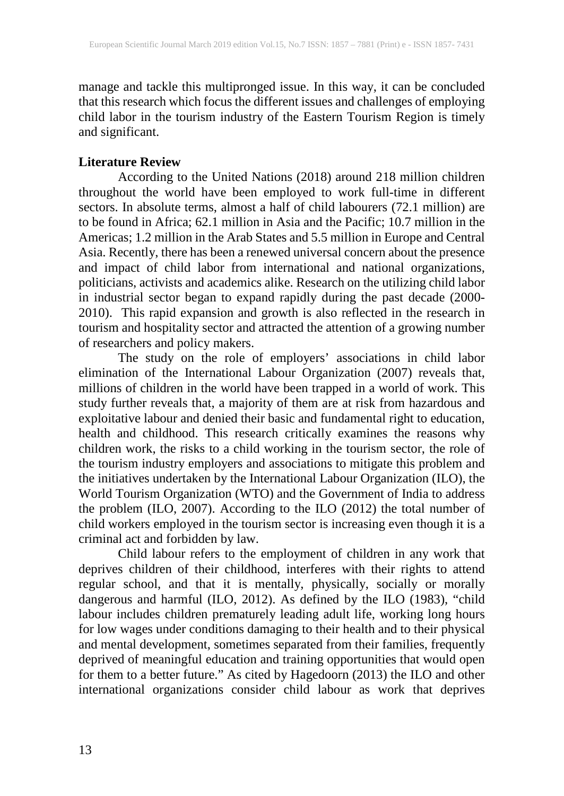manage and tackle this multipronged issue. In this way, it can be concluded that this research which focus the different issues and challenges of employing child labor in the tourism industry of the Eastern Tourism Region is timely and significant.

# **Literature Review**

According to the United Nations (2018) around 218 million children throughout the world have been employed to work full-time in different sectors. In absolute terms, almost a half of child labourers (72.1 million) are to be found in Africa; 62.1 million in Asia and the Pacific; 10.7 million in the Americas; 1.2 million in the Arab States and 5.5 million in Europe and Central Asia. Recently, there has been a renewed universal concern about the presence and impact of child labor from international and national organizations, politicians, activists and academics alike. Research on the utilizing child labor in industrial sector began to expand rapidly during the past decade (2000- 2010). This rapid expansion and growth is also reflected in the research in tourism and hospitality sector and attracted the attention of a growing number of researchers and policy makers.

The study on the role of employers' associations in child labor elimination of the International Labour Organization (2007) reveals that, millions of children in the world have been trapped in a world of work. This study further reveals that, a majority of them are at risk from hazardous and exploitative labour and denied their basic and fundamental right to education, health and childhood. This research critically examines the reasons why children work, the risks to a child working in the tourism sector, the role of the tourism industry employers and associations to mitigate this problem and the initiatives undertaken by the International Labour Organization (ILO), the World Tourism Organization (WTO) and the Government of India to address the problem (ILO, 2007). According to the ILO (2012) the total number of child workers employed in the tourism sector is increasing even though it is a criminal act and forbidden by law.

Child labour refers to the employment of children in any work that deprives children of their childhood, interferes with their rights to attend regular school, and that it is mentally, physically, socially or morally dangerous and harmful (ILO, 2012). As defined by the ILO (1983), "child labour includes children prematurely leading adult life, working long hours for low wages under conditions damaging to their health and to their physical and mental development, sometimes separated from their families, frequently deprived of meaningful education and training opportunities that would open for them to a better future." As cited by Hagedoorn (2013) the ILO and other international organizations consider child labour as work that deprives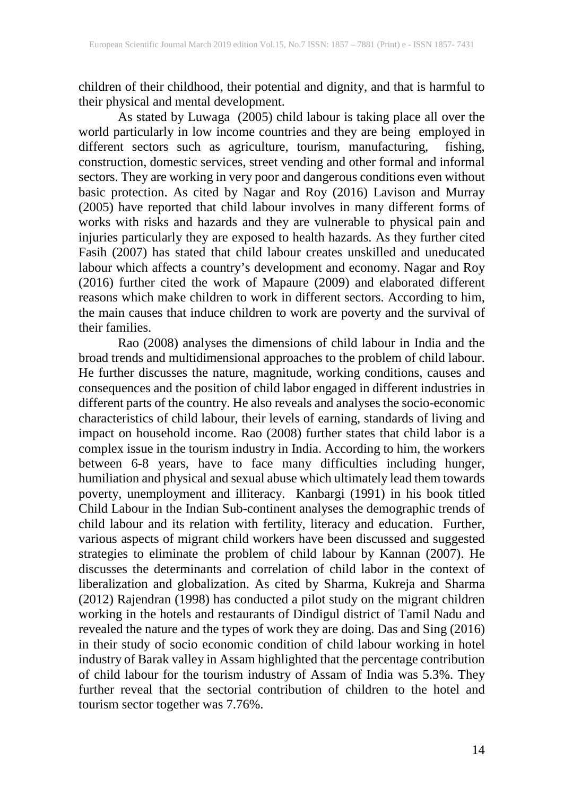children of their childhood, their potential and dignity, and that is harmful to their physical and mental development.

As stated by Luwaga (2005) child labour is taking place all over the world particularly in low income countries and they are being employed in different sectors such as agriculture, tourism, manufacturing, fishing, construction, domestic services, street vending and other formal and informal sectors. They are working in very poor and dangerous conditions even without basic protection. As cited by Nagar and Roy (2016) Lavison and Murray (2005) have reported that child labour involves in many different forms of works with risks and hazards and they are vulnerable to physical pain and injuries particularly they are exposed to health hazards. As they further cited Fasih (2007) has stated that child labour creates unskilled and uneducated labour which affects a country's development and economy. Nagar and Roy (2016) further cited the work of Mapaure (2009) and elaborated different reasons which make children to work in different sectors. According to him, the main causes that induce children to work are poverty and the survival of their families.

Rao (2008) analyses the dimensions of child labour in India and the broad trends and multidimensional approaches to the problem of child labour. He further discusses the nature, magnitude, working conditions, causes and consequences and the position of child labor engaged in different industries in different parts of the country. He also reveals and analyses the socio-economic characteristics of child labour, their levels of earning, standards of living and impact on household income. Rao (2008) further states that child labor is a complex issue in the tourism industry in India. According to him, the workers between 6-8 years, have to face many difficulties including hunger, humiliation and physical and sexual abuse which ultimately lead them towards poverty, unemployment and illiteracy. Kanbargi (1991) in his book titled Child Labour in the Indian Sub-continent analyses the demographic trends of child labour and its relation with fertility, literacy and education. Further, various aspects of migrant child workers have been discussed and suggested strategies to eliminate the problem of child labour by Kannan (2007). He discusses the determinants and correlation of child labor in the context of liberalization and globalization. As cited by Sharma, Kukreja and Sharma (2012) Rajendran (1998) has conducted a pilot study on the migrant children working in the hotels and restaurants of Dindigul district of Tamil Nadu and revealed the nature and the types of work they are doing. Das and Sing (2016) in their study of socio economic condition of child labour working in hotel industry of Barak valley in Assam highlighted that the percentage contribution of child labour for the tourism industry of Assam of India was 5.3%. They further reveal that the sectorial contribution of children to the hotel and tourism sector together was 7.76%.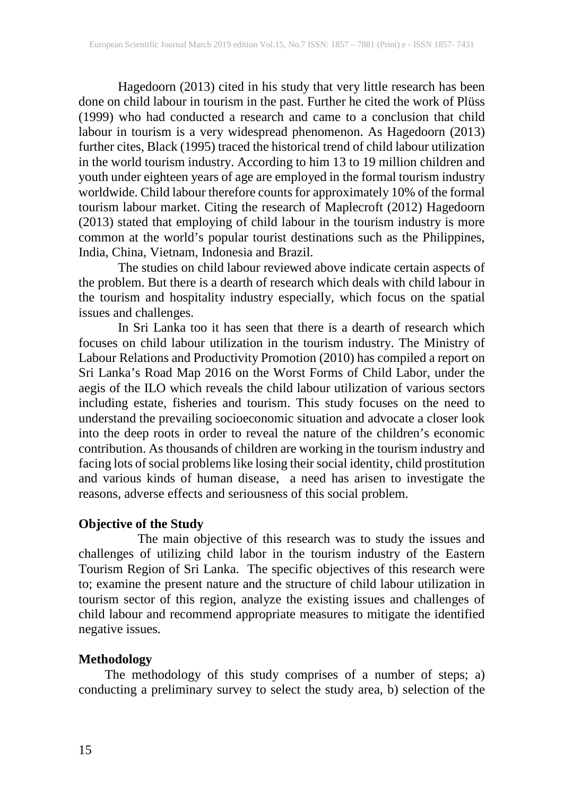Hagedoorn (2013) cited in his study that very little research has been done on child labour in tourism in the past. Further he cited the work of Plüss (1999) who had conducted a research and came to a conclusion that child labour in tourism is a very widespread phenomenon. As Hagedoorn (2013) further cites, Black (1995) traced the historical trend of child labour utilization in the world tourism industry. According to him 13 to 19 million children and youth under eighteen years of age are employed in the formal tourism industry worldwide. Child labour therefore counts for approximately 10% of the formal tourism labour market. Citing the research of Maplecroft (2012) Hagedoorn (2013) stated that employing of child labour in the tourism industry is more common at the world's popular tourist destinations such as the Philippines, India, China, Vietnam, Indonesia and Brazil.

The studies on child labour reviewed above indicate certain aspects of the problem. But there is a dearth of research which deals with child labour in the tourism and hospitality industry especially, which focus on the spatial issues and challenges.

In Sri Lanka too it has seen that there is a dearth of research which focuses on child labour utilization in the tourism industry. The Ministry of Labour Relations and Productivity Promotion (2010) has compiled a report on Sri Lanka's Road Map 2016 on the Worst Forms of Child Labor, under the aegis of the ILO which reveals the child labour utilization of various sectors including estate, fisheries and tourism. This study focuses on the need to understand the prevailing socioeconomic situation and advocate a closer look into the deep roots in order to reveal the nature of the children's economic contribution. As thousands of children are working in the tourism industry and facing lots of social problems like losing their social identity, child prostitution and various kinds of human disease, a need has arisen to investigate the reasons, adverse effects and seriousness of this social problem.

# **Objective of the Study**

The main objective of this research was to study the issues and challenges of utilizing child labor in the tourism industry of the Eastern Tourism Region of Sri Lanka. The specific objectives of this research were to; examine the present nature and the structure of child labour utilization in tourism sector of this region, analyze the existing issues and challenges of child labour and recommend appropriate measures to mitigate the identified negative issues.

# **Methodology**

 The methodology of this study comprises of a number of steps; a) conducting a preliminary survey to select the study area, b) selection of the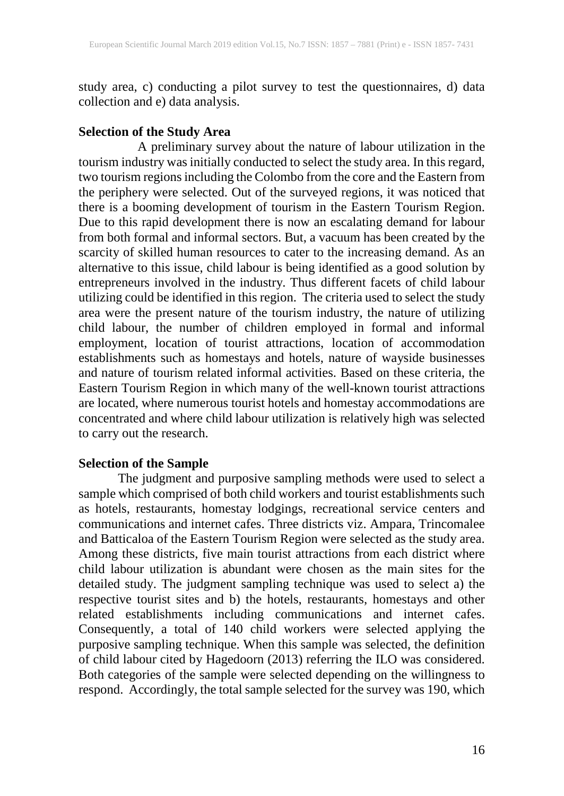study area, c) conducting a pilot survey to test the questionnaires, d) data collection and e) data analysis.

### **Selection of the Study Area**

A preliminary survey about the nature of labour utilization in the tourism industry was initially conducted to select the study area. In this regard, two tourism regions including the Colombo from the core and the Eastern from the periphery were selected. Out of the surveyed regions, it was noticed that there is a booming development of tourism in the Eastern Tourism Region. Due to this rapid development there is now an escalating demand for labour from both formal and informal sectors. But, a vacuum has been created by the scarcity of skilled human resources to cater to the increasing demand. As an alternative to this issue, child labour is being identified as a good solution by entrepreneurs involved in the industry. Thus different facets of child labour utilizing could be identified in this region. The criteria used to select the study area were the present nature of the tourism industry, the nature of utilizing child labour, the number of children employed in formal and informal employment, location of tourist attractions, location of accommodation establishments such as homestays and hotels, nature of wayside businesses and nature of tourism related informal activities. Based on these criteria, the Eastern Tourism Region in which many of the well-known tourist attractions are located, where numerous tourist hotels and homestay accommodations are concentrated and where child labour utilization is relatively high was selected to carry out the research.

# **Selection of the Sample**

The judgment and purposive sampling methods were used to select a sample which comprised of both child workers and tourist establishments such as hotels, restaurants, homestay lodgings, recreational service centers and communications and internet cafes. Three districts viz. Ampara, Trincomalee and Batticaloa of the Eastern Tourism Region were selected as the study area. Among these districts, five main tourist attractions from each district where child labour utilization is abundant were chosen as the main sites for the detailed study. The judgment sampling technique was used to select a) the respective tourist sites and b) the hotels, restaurants, homestays and other related establishments including communications and internet cafes. Consequently, a total of 140 child workers were selected applying the purposive sampling technique. When this sample was selected, the definition of child labour cited by Hagedoorn (2013) referring the ILO was considered. Both categories of the sample were selected depending on the willingness to respond. Accordingly, the total sample selected for the survey was 190, which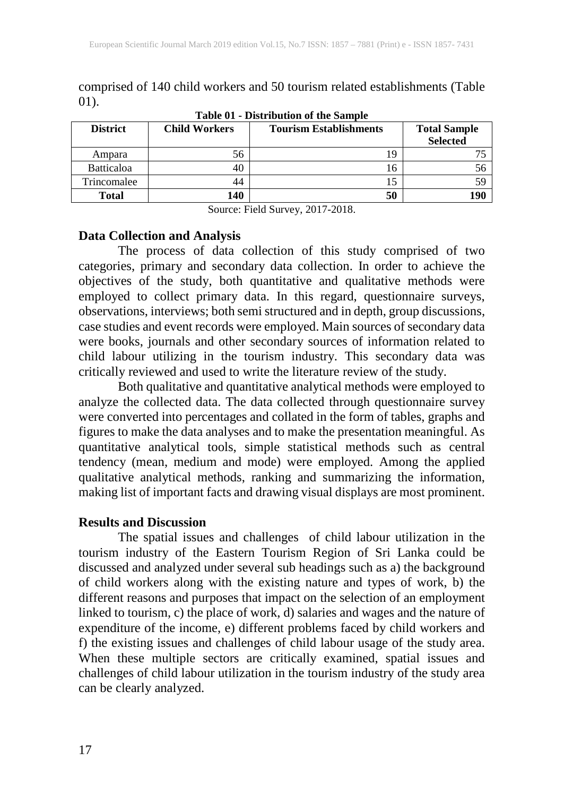comprised of 140 child workers and 50 tourism related establishments (Table 01).

| rabic or Distribution or the bampic |                      |                               |                                        |  |  |  |  |
|-------------------------------------|----------------------|-------------------------------|----------------------------------------|--|--|--|--|
| <b>District</b>                     | <b>Child Workers</b> | <b>Tourism Establishments</b> | <b>Total Sample</b><br><b>Selected</b> |  |  |  |  |
| Ampara                              | 56                   | 19                            |                                        |  |  |  |  |
| <b>Batticaloa</b>                   | 40                   | 16                            |                                        |  |  |  |  |
| Trincomalee                         | 44                   |                               |                                        |  |  |  |  |
| <b>Total</b>                        | 140                  | 50                            | 190                                    |  |  |  |  |

**Table 01 - Distribution of the Sample**

Source: Field Survey, 2017-2018.

#### **Data Collection and Analysis**

The process of data collection of this study comprised of two categories, primary and secondary data collection. In order to achieve the objectives of the study, both quantitative and qualitative methods were employed to collect primary data. In this regard, questionnaire surveys, observations, interviews; both semi structured and in depth, group discussions, case studies and event records were employed. Main sources of secondary data were books, journals and other secondary sources of information related to child labour utilizing in the tourism industry. This secondary data was critically reviewed and used to write the literature review of the study.

Both qualitative and quantitative analytical methods were employed to analyze the collected data. The data collected through questionnaire survey were converted into percentages and collated in the form of tables, graphs and figures to make the data analyses and to make the presentation meaningful. As quantitative analytical tools, simple statistical methods such as central tendency (mean, medium and mode) were employed. Among the applied qualitative analytical methods, ranking and summarizing the information, making list of important facts and drawing visual displays are most prominent.

# **Results and Discussion**

The spatial issues and challenges of child labour utilization in the tourism industry of the Eastern Tourism Region of Sri Lanka could be discussed and analyzed under several sub headings such as a) the background of child workers along with the existing nature and types of work, b) the different reasons and purposes that impact on the selection of an employment linked to tourism, c) the place of work, d) salaries and wages and the nature of expenditure of the income, e) different problems faced by child workers and f) the existing issues and challenges of child labour usage of the study area. When these multiple sectors are critically examined, spatial issues and challenges of child labour utilization in the tourism industry of the study area can be clearly analyzed.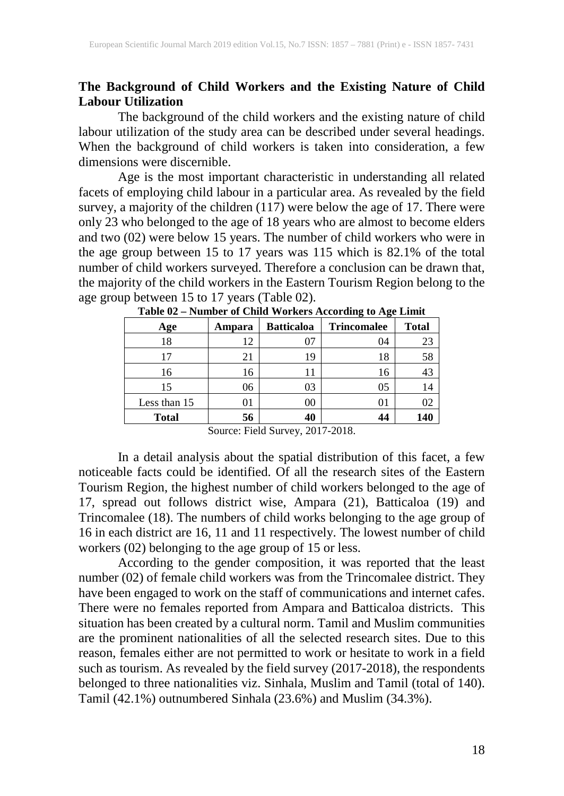# **The Background of Child Workers and the Existing Nature of Child Labour Utilization**

The background of the child workers and the existing nature of child labour utilization of the study area can be described under several headings. When the background of child workers is taken into consideration, a few dimensions were discernible.

Age is the most important characteristic in understanding all related facets of employing child labour in a particular area. As revealed by the field survey, a majority of the children (117) were below the age of 17. There were only 23 who belonged to the age of 18 years who are almost to become elders and two (02) were below 15 years. The number of child workers who were in the age group between 15 to 17 years was 115 which is 82.1% of the total number of child workers surveyed. Therefore a conclusion can be drawn that, the majority of the child workers in the Eastern Tourism Region belong to the age group between 15 to 17 years (Table 02).

| Age          | Ampara | <b>Batticaloa</b> | ັ<br><b>Trincomalee</b> | <b>Total</b> |
|--------------|--------|-------------------|-------------------------|--------------|
| 18           | 12     | 07                | 04                      | 23           |
| 17           | 21     | 19                | 18                      | 58           |
| 16           | 16     | 11                | 16                      | 43           |
| 15           | 06     | 03                | 05                      | 14           |
| Less than 15 | 01     | 00                | 01                      | 02           |
| <b>Total</b> | 56     | 40                | 44                      | 140          |

**Table 02 – Number of Child Workers According to Age Limit**

Source: Field Survey, 2017-2018.

In a detail analysis about the spatial distribution of this facet, a few noticeable facts could be identified. Of all the research sites of the Eastern Tourism Region, the highest number of child workers belonged to the age of 17, spread out follows district wise, Ampara (21), Batticaloa (19) and Trincomalee (18). The numbers of child works belonging to the age group of 16 in each district are 16, 11 and 11 respectively. The lowest number of child workers (02) belonging to the age group of 15 or less.

According to the gender composition, it was reported that the least number (02) of female child workers was from the Trincomalee district. They have been engaged to work on the staff of communications and internet cafes. There were no females reported from Ampara and Batticaloa districts. This situation has been created by a cultural norm. Tamil and Muslim communities are the prominent nationalities of all the selected research sites. Due to this reason, females either are not permitted to work or hesitate to work in a field such as tourism. As revealed by the field survey (2017-2018), the respondents belonged to three nationalities viz. Sinhala, Muslim and Tamil (total of 140). Tamil (42.1%) outnumbered Sinhala (23.6%) and Muslim (34.3%).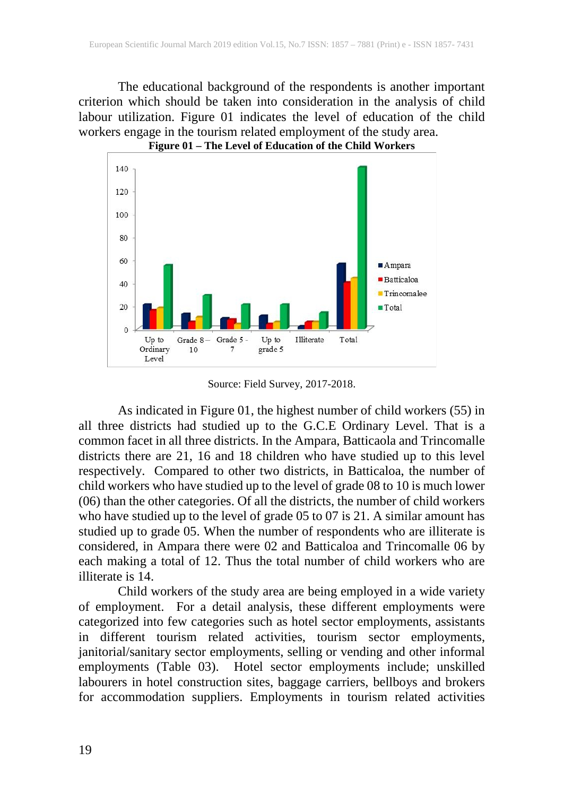The educational background of the respondents is another important criterion which should be taken into consideration in the analysis of child labour utilization. Figure 01 indicates the level of education of the child workers engage in the tourism related employment of the study area. **Figure 01 – The Level of Education of the Child Workers**



Source: Field Survey, 2017-2018.

As indicated in Figure 01, the highest number of child workers (55) in all three districts had studied up to the G.C.E Ordinary Level. That is a common facet in all three districts. In the Ampara, Batticaola and Trincomalle districts there are 21, 16 and 18 children who have studied up to this level respectively. Compared to other two districts, in Batticaloa, the number of child workers who have studied up to the level of grade 08 to 10 is much lower (06) than the other categories. Of all the districts, the number of child workers who have studied up to the level of grade 05 to 07 is 21. A similar amount has studied up to grade 05. When the number of respondents who are illiterate is considered, in Ampara there were 02 and Batticaloa and Trincomalle 06 by each making a total of 12. Thus the total number of child workers who are illiterate is 14.

Child workers of the study area are being employed in a wide variety of employment. For a detail analysis, these different employments were categorized into few categories such as hotel sector employments, assistants in different tourism related activities, tourism sector employments, janitorial/sanitary sector employments, selling or vending and other informal employments (Table 03). Hotel sector employments include; unskilled labourers in hotel construction sites, baggage carriers, bellboys and brokers for accommodation suppliers. Employments in tourism related activities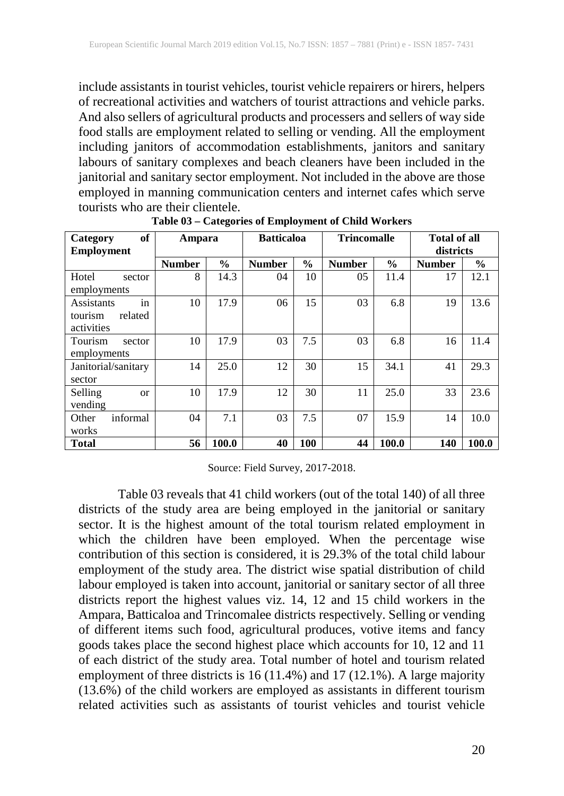include assistants in tourist vehicles, tourist vehicle repairers or hirers, helpers of recreational activities and watchers of tourist attractions and vehicle parks. And also sellers of agricultural products and processers and sellers of way side food stalls are employment related to selling or vending. All the employment including janitors of accommodation establishments, janitors and sanitary labours of sanitary complexes and beach cleaners have been included in the janitorial and sanitary sector employment. Not included in the above are those employed in manning communication centers and internet cafes which serve tourists who are their clientele.

| of<br>Category<br><b>Employment</b> | Ampara        |               | <b>Batticaloa</b> |               | <b>Trincomalle</b> |               | <b>Total of all</b><br>districts |               |
|-------------------------------------|---------------|---------------|-------------------|---------------|--------------------|---------------|----------------------------------|---------------|
|                                     | <b>Number</b> | $\frac{6}{9}$ | <b>Number</b>     | $\frac{6}{9}$ | <b>Number</b>      | $\frac{6}{6}$ | <b>Number</b>                    | $\frac{6}{9}$ |
| Hotel<br>sector                     | 8             | 14.3          | 04                | 10            | 05                 | 11.4          | 17                               | 12.1          |
| employments                         |               |               |                   |               |                    |               |                                  |               |
| in<br>Assistants                    | 10            | 17.9          | 06                | 15            | 03                 | 6.8           | 19                               | 13.6          |
| related<br>tourism                  |               |               |                   |               |                    |               |                                  |               |
| activities                          |               |               |                   |               |                    |               |                                  |               |
| Tourism<br>sector                   | 10            | 17.9          | 03                | 7.5           | 03                 | 6.8           | 16                               | 11.4          |
| employments                         |               |               |                   |               |                    |               |                                  |               |
| Janitorial/sanitary                 | 14            | 25.0          | 12                | 30            | 15                 | 34.1          | 41                               | 29.3          |
| sector                              |               |               |                   |               |                    |               |                                  |               |
| Selling<br>$\alpha$                 | 10            | 17.9          | 12                | 30            | 11                 | 25.0          | 33                               | 23.6          |
| vending                             |               |               |                   |               |                    |               |                                  |               |
| informal<br>Other                   | 04            | 7.1           | 03                | 7.5           | 07                 | 15.9          | 14                               | 10.0          |
| works                               |               |               |                   |               |                    |               |                                  |               |
| Total                               | 56            | 100.0         | 40                | 100           | 44                 | 100.0         | 140                              | 100.0         |

**Table 03 – Categories of Employment of Child Workers**

Source: Field Survey, 2017-2018.

Table 03 reveals that 41 child workers (out of the total 140) of all three districts of the study area are being employed in the janitorial or sanitary sector. It is the highest amount of the total tourism related employment in which the children have been employed. When the percentage wise contribution of this section is considered, it is 29.3% of the total child labour employment of the study area. The district wise spatial distribution of child labour employed is taken into account, janitorial or sanitary sector of all three districts report the highest values viz. 14, 12 and 15 child workers in the Ampara, Batticaloa and Trincomalee districts respectively. Selling or vending of different items such food, agricultural produces, votive items and fancy goods takes place the second highest place which accounts for 10, 12 and 11 of each district of the study area. Total number of hotel and tourism related employment of three districts is 16 (11.4%) and 17 (12.1%). A large majority (13.6%) of the child workers are employed as assistants in different tourism related activities such as assistants of tourist vehicles and tourist vehicle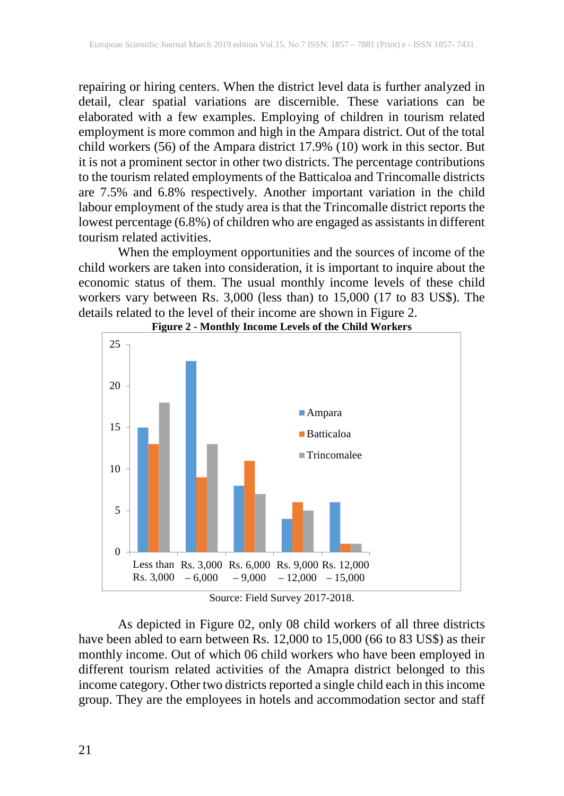repairing or hiring centers. When the district level data is further analyzed in detail, clear spatial variations are discernible. These variations can be elaborated with a few examples. Employing of children in tourism related employment is more common and high in the Ampara district. Out of the total child workers (56) of the Ampara district 17.9% (10) work in this sector. But it is not a prominent sector in other two districts. The percentage contributions to the tourism related employments of the Batticaloa and Trincomalle districts are 7.5% and 6.8% respectively. Another important variation in the child labour employment of the study area is that the Trincomalle district reports the lowest percentage (6.8%) of children who are engaged as assistants in different tourism related activities.

When the employment opportunities and the sources of income of the child workers are taken into consideration, it is important to inquire about the economic status of them. The usual monthly income levels of these child workers vary between Rs. 3,000 (less than) to 15,000 (17 to 83 US\$). The details related to the level of their income are shown in Figure 2.



**Figure 2 - Monthly Income Levels of the Child Workers**

Source: Field Survey 2017-2018.

As depicted in Figure 02, only 08 child workers of all three districts have been abled to earn between Rs. 12,000 to 15,000 (66 to 83 US\$) as their monthly income. Out of which 06 child workers who have been employed in different tourism related activities of the Amapra district belonged to this income category. Other two districts reported a single child each in this income group. They are the employees in hotels and accommodation sector and staff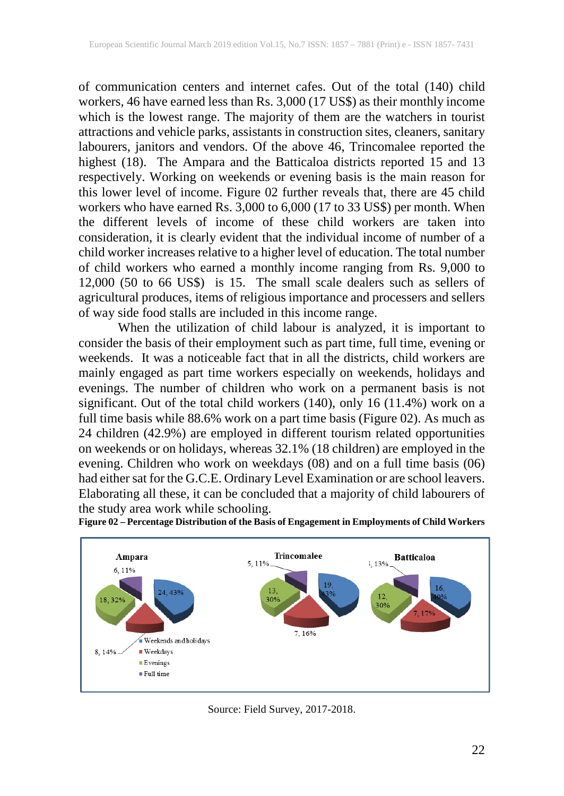of communication centers and internet cafes. Out of the total (140) child workers, 46 have earned less than Rs. 3,000 (17 US\$) as their monthly income which is the lowest range. The majority of them are the watchers in tourist attractions and vehicle parks, assistants in construction sites, cleaners, sanitary labourers, janitors and vendors. Of the above 46, Trincomalee reported the highest (18). The Ampara and the Batticaloa districts reported 15 and 13 respectively. Working on weekends or evening basis is the main reason for this lower level of income. Figure 02 further reveals that, there are 45 child workers who have earned Rs. 3,000 to 6,000 (17 to 33 US\$) per month. When the different levels of income of these child workers are taken into consideration, it is clearly evident that the individual income of number of a child worker increases relative to a higher level of education. The total number of child workers who earned a monthly income ranging from Rs. 9,000 to 12,000 (50 to 66 US\$) is 15. The small scale dealers such as sellers of agricultural produces, items of religious importance and processers and sellers of way side food stalls are included in this income range.

When the utilization of child labour is analyzed, it is important to consider the basis of their employment such as part time, full time, evening or weekends. It was a noticeable fact that in all the districts, child workers are mainly engaged as part time workers especially on weekends, holidays and evenings. The number of children who work on a permanent basis is not significant. Out of the total child workers (140), only 16 (11.4%) work on a full time basis while 88.6% work on a part time basis (Figure 02). As much as 24 children (42.9%) are employed in different tourism related opportunities on weekends or on holidays, whereas 32.1% (18 children) are employed in the evening. Children who work on weekdays (08) and on a full time basis (06) had either sat for the G.C.E. Ordinary Level Examination or are school leavers. Elaborating all these, it can be concluded that a majority of child labourers of the study area work while schooling.



**Figure 02 – Percentage Distribution of the Basis of Engagement in Employments of Child Workers**

Source: Field Survey, 2017-2018.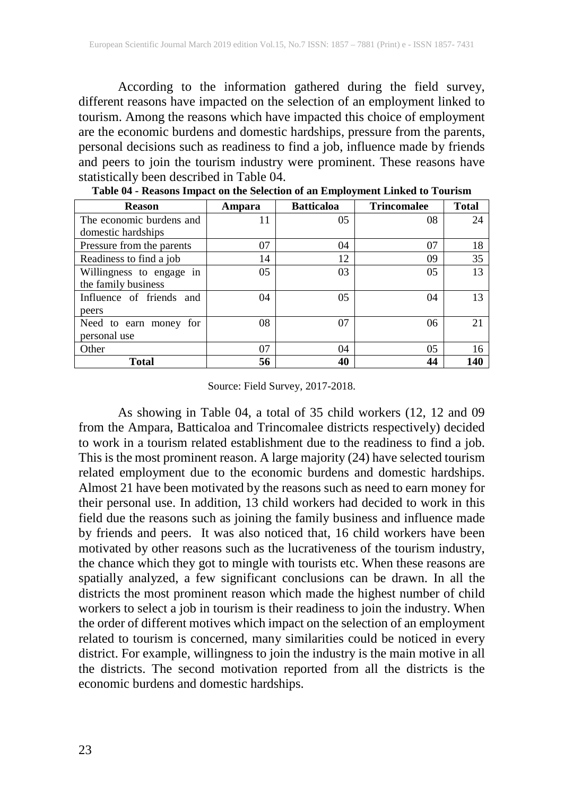According to the information gathered during the field survey, different reasons have impacted on the selection of an employment linked to tourism. Among the reasons which have impacted this choice of employment are the economic burdens and domestic hardships, pressure from the parents, personal decisions such as readiness to find a job, influence made by friends and peers to join the tourism industry were prominent. These reasons have statistically been described in Table 04.

| <b>Reason</b>             | Ampara | <b>Batticaloa</b> | <b>Trincomalee</b> | <b>Total</b> |
|---------------------------|--------|-------------------|--------------------|--------------|
| The economic burdens and  | 11     | 05                | 08                 | 24           |
| domestic hardships        |        |                   |                    |              |
| Pressure from the parents | 07     | 04                | 07                 | 18           |
| Readiness to find a job   | 14     | 12                | 09                 | 35           |
| Willingness to engage in  | 05     | 03                | 05                 | 13           |
| the family business       |        |                   |                    |              |
| Influence of friends and  | 04     | 05                | 04                 | 13           |
| peers                     |        |                   |                    |              |
| Need to earn money for    | 08     | 07                | 06                 | 21           |
| personal use              |        |                   |                    |              |
| Other                     | 07     | 04                | 05                 | 16           |
| Total                     | 56     | 40                | 44                 | 140          |

**Table 04 - Reasons Impact on the Selection of an Employment Linked to Tourism**

#### Source: Field Survey, 2017-2018.

As showing in Table 04, a total of 35 child workers (12, 12 and 09 from the Ampara, Batticaloa and Trincomalee districts respectively) decided to work in a tourism related establishment due to the readiness to find a job. This is the most prominent reason. A large majority (24) have selected tourism related employment due to the economic burdens and domestic hardships. Almost 21 have been motivated by the reasons such as need to earn money for their personal use. In addition, 13 child workers had decided to work in this field due the reasons such as joining the family business and influence made by friends and peers. It was also noticed that, 16 child workers have been motivated by other reasons such as the lucrativeness of the tourism industry, the chance which they got to mingle with tourists etc. When these reasons are spatially analyzed, a few significant conclusions can be drawn. In all the districts the most prominent reason which made the highest number of child workers to select a job in tourism is their readiness to join the industry. When the order of different motives which impact on the selection of an employment related to tourism is concerned, many similarities could be noticed in every district. For example, willingness to join the industry is the main motive in all the districts. The second motivation reported from all the districts is the economic burdens and domestic hardships.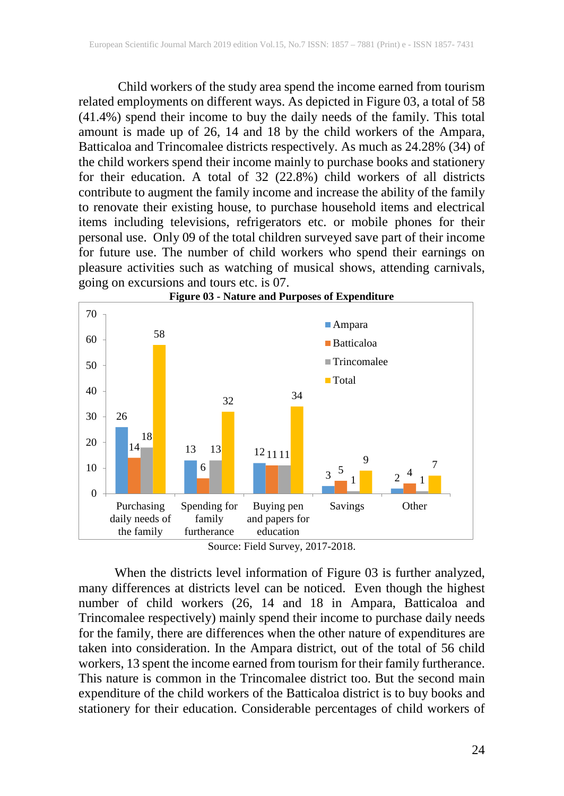Child workers of the study area spend the income earned from tourism related employments on different ways. As depicted in Figure 03, a total of 58 (41.4%) spend their income to buy the daily needs of the family. This total amount is made up of 26, 14 and 18 by the child workers of the Ampara, Batticaloa and Trincomalee districts respectively. As much as 24.28% (34) of the child workers spend their income mainly to purchase books and stationery for their education. A total of 32 (22.8%) child workers of all districts contribute to augment the family income and increase the ability of the family to renovate their existing house, to purchase household items and electrical items including televisions, refrigerators etc. or mobile phones for their personal use. Only 09 of the total children surveyed save part of their income for future use. The number of child workers who spend their earnings on pleasure activities such as watching of musical shows, attending carnivals, going on excursions and tours etc. is 07.



Source: Field Survey, 2017-2018.

 When the districts level information of Figure 03 is further analyzed, many differences at districts level can be noticed. Even though the highest number of child workers (26, 14 and 18 in Ampara, Batticaloa and Trincomalee respectively) mainly spend their income to purchase daily needs for the family, there are differences when the other nature of expenditures are taken into consideration. In the Ampara district, out of the total of 56 child workers, 13 spent the income earned from tourism for their family furtherance. This nature is common in the Trincomalee district too. But the second main expenditure of the child workers of the Batticaloa district is to buy books and stationery for their education. Considerable percentages of child workers of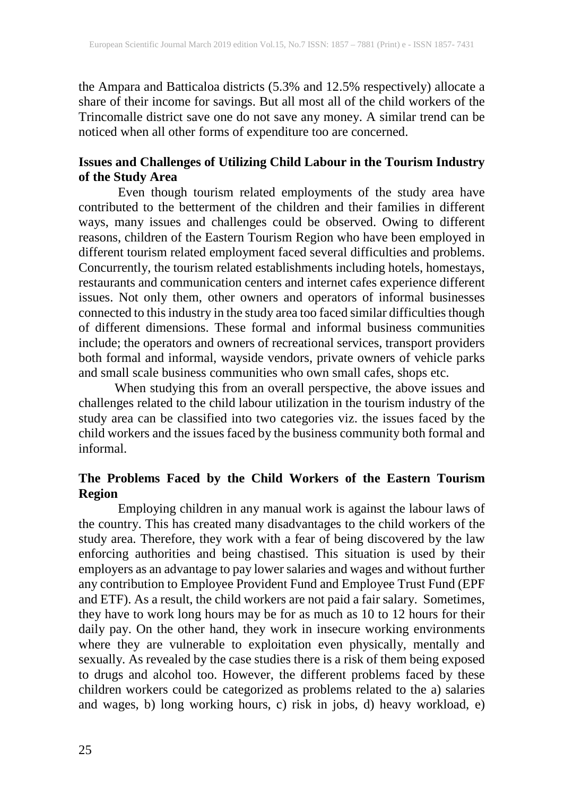the Ampara and Batticaloa districts (5.3% and 12.5% respectively) allocate a share of their income for savings. But all most all of the child workers of the Trincomalle district save one do not save any money. A similar trend can be noticed when all other forms of expenditure too are concerned.

# **Issues and Challenges of Utilizing Child Labour in the Tourism Industry of the Study Area**

Even though tourism related employments of the study area have contributed to the betterment of the children and their families in different ways, many issues and challenges could be observed. Owing to different reasons, children of the Eastern Tourism Region who have been employed in different tourism related employment faced several difficulties and problems. Concurrently, the tourism related establishments including hotels, homestays, restaurants and communication centers and internet cafes experience different issues. Not only them, other owners and operators of informal businesses connected to this industry in the study area too faced similar difficulties though of different dimensions. These formal and informal business communities include; the operators and owners of recreational services, transport providers both formal and informal, wayside vendors, private owners of vehicle parks and small scale business communities who own small cafes, shops etc.

 When studying this from an overall perspective, the above issues and challenges related to the child labour utilization in the tourism industry of the study area can be classified into two categories viz. the issues faced by the child workers and the issues faced by the business community both formal and informal.

# **The Problems Faced by the Child Workers of the Eastern Tourism Region**

Employing children in any manual work is against the labour laws of the country. This has created many disadvantages to the child workers of the study area. Therefore, they work with a fear of being discovered by the law enforcing authorities and being chastised. This situation is used by their employers as an advantage to pay lower salaries and wages and without further any contribution to Employee Provident Fund and Employee Trust Fund (EPF and ETF). As a result, the child workers are not paid a fair salary. Sometimes, they have to work long hours may be for as much as 10 to 12 hours for their daily pay. On the other hand, they work in insecure working environments where they are vulnerable to exploitation even physically, mentally and sexually. As revealed by the case studies there is a risk of them being exposed to drugs and alcohol too. However, the different problems faced by these children workers could be categorized as problems related to the a) salaries and wages, b) long working hours, c) risk in jobs, d) heavy workload, e)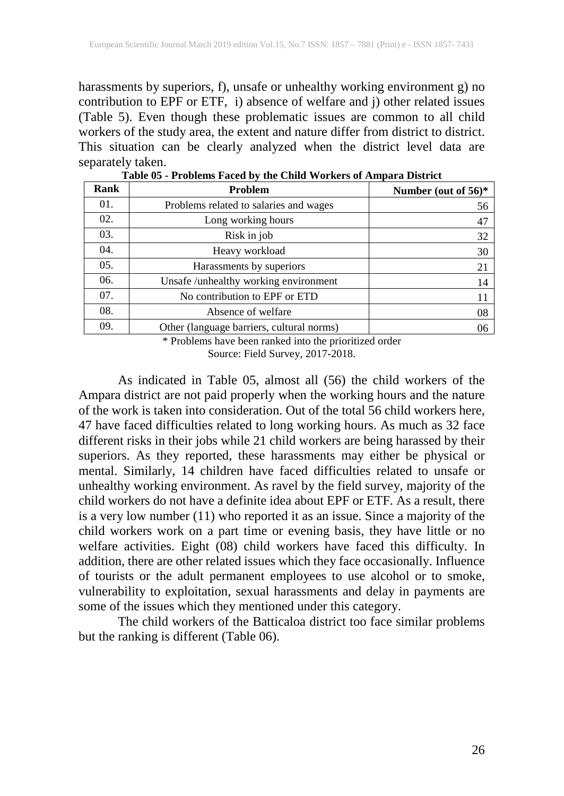harassments by superiors, f), unsafe or unhealthy working environment g) no contribution to EPF or ETF, i) absence of welfare and j) other related issues (Table 5). Even though these problematic issues are common to all child workers of the study area, the extent and nature differ from district to district. This situation can be clearly analyzed when the district level data are separately taken.

| Rank | <b>Problem</b>                            | Number (out of 56)* |
|------|-------------------------------------------|---------------------|
| 01.  | Problems related to salaries and wages    | 56                  |
| 02.  | Long working hours                        | 47                  |
| 03.  | Risk in job                               | 32                  |
| 04.  | Heavy workload                            | 30                  |
| 05.  | Harassments by superiors                  | 21                  |
| 06.  | Unsafe/unhealthy working environment      | 14                  |
| 07.  | No contribution to EPF or ETD             | 11                  |
| 08.  | Absence of welfare                        | 08                  |
| 09.  | Other (language barriers, cultural norms) | 06                  |

**Table 05 - Problems Faced by the Child Workers of Ampara District**

\* Problems have been ranked into the prioritized order Source: Field Survey, 2017-2018.

As indicated in Table 05, almost all (56) the child workers of the Ampara district are not paid properly when the working hours and the nature of the work is taken into consideration. Out of the total 56 child workers here, 47 have faced difficulties related to long working hours. As much as 32 face different risks in their jobs while 21 child workers are being harassed by their superiors. As they reported, these harassments may either be physical or mental. Similarly, 14 children have faced difficulties related to unsafe or unhealthy working environment. As ravel by the field survey, majority of the child workers do not have a definite idea about EPF or ETF. As a result, there is a very low number (11) who reported it as an issue. Since a majority of the child workers work on a part time or evening basis, they have little or no welfare activities. Eight (08) child workers have faced this difficulty. In addition, there are other related issues which they face occasionally. Influence of tourists or the adult permanent employees to use alcohol or to smoke, vulnerability to exploitation, sexual harassments and delay in payments are some of the issues which they mentioned under this category.

The child workers of the Batticaloa district too face similar problems but the ranking is different (Table 06).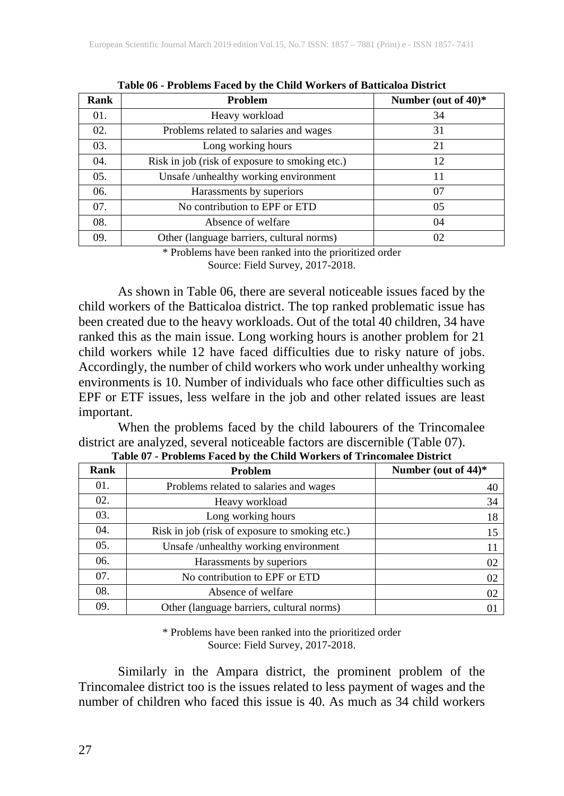| <b>Rank</b> | Problem                                        | Number (out of $40$ )* |
|-------------|------------------------------------------------|------------------------|
| 01.         | Heavy workload                                 | 34                     |
| 02.         | Problems related to salaries and wages         | 31                     |
| 03.         | Long working hours                             | 21                     |
| 04.         | Risk in job (risk of exposure to smoking etc.) | 12                     |
| 05.         | Unsafe /unhealthy working environment          | 11                     |
| 06.         | Harassments by superiors                       | 07                     |
| 07.         | No contribution to EPF or ETD                  | 05                     |
| 08.         | Absence of welfare                             | 04                     |
| 09.         | Other (language barriers, cultural norms)      | 02                     |

**Table 06 - Problems Faced by the Child Workers of Batticaloa District**

\* Problems have been ranked into the prioritized order Source: Field Survey, 2017-2018.

As shown in Table 06, there are several noticeable issues faced by the child workers of the Batticaloa district. The top ranked problematic issue has been created due to the heavy workloads. Out of the total 40 children, 34 have ranked this as the main issue. Long working hours is another problem for 21 child workers while 12 have faced difficulties due to risky nature of jobs. Accordingly, the number of child workers who work under unhealthy working environments is 10. Number of individuals who face other difficulties such as EPF or ETF issues, less welfare in the job and other related issues are least important.

When the problems faced by the child labourers of the Trincomalee district are analyzed, several noticeable factors are discernible (Table 07).

| Rank | Problem                                        | Number (out of $44$ )* |
|------|------------------------------------------------|------------------------|
| 01.  | Problems related to salaries and wages         | 40                     |
| 02.  | Heavy workload                                 | 34                     |
| 03.  | Long working hours                             | 18                     |
| 04.  | Risk in job (risk of exposure to smoking etc.) | 15                     |
| 05.  | Unsafe /unhealthy working environment          | 11                     |
| 06.  | Harassments by superiors                       | 02                     |
| 07.  | No contribution to EPF or ETD                  | 02                     |
| 08.  | Absence of welfare                             | 02                     |
| 09.  | Other (language barriers, cultural norms)      | 01                     |

**Table 07 - Problems Faced by the Child Workers of Trincomalee District**

\* Problems have been ranked into the prioritized order Source: Field Survey, 2017-2018.

Similarly in the Ampara district, the prominent problem of the Trincomalee district too is the issues related to less payment of wages and the number of children who faced this issue is 40. As much as 34 child workers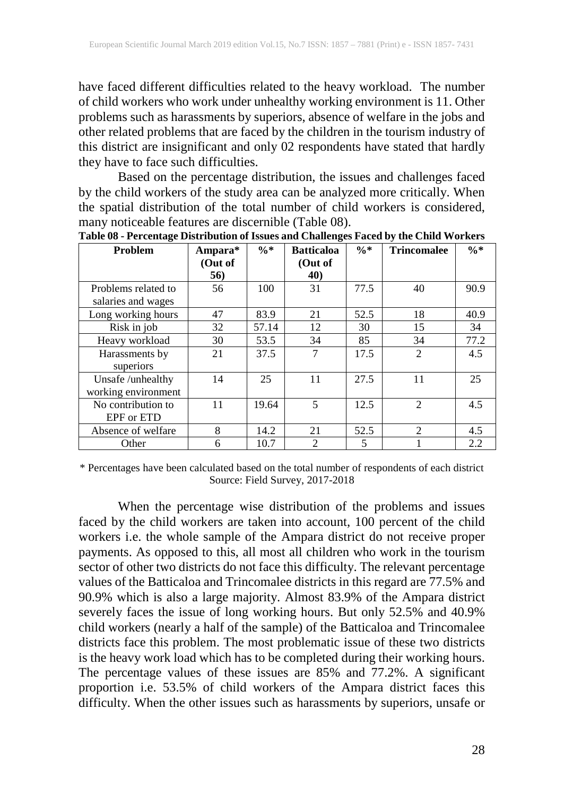have faced different difficulties related to the heavy workload. The number of child workers who work under unhealthy working environment is 11. Other problems such as harassments by superiors, absence of welfare in the jobs and other related problems that are faced by the children in the tourism industry of this district are insignificant and only 02 respondents have stated that hardly they have to face such difficulties.

Based on the percentage distribution, the issues and challenges faced by the child workers of the study area can be analyzed more critically. When the spatial distribution of the total number of child workers is considered, many noticeable features are discernible (Table 08).

| Problem             | Ampara* | $\% *$ | <b>Batticaloa</b> | $\frac{0}{6}$ * | <b>Trincomalee</b> | $\frac{0}{6}$ * |
|---------------------|---------|--------|-------------------|-----------------|--------------------|-----------------|
|                     | (Out of |        | (Out of           |                 |                    |                 |
|                     | 56)     |        | 40)               |                 |                    |                 |
| Problems related to | 56      | 100    | 31                | 77.5            | 40                 | 90.9            |
| salaries and wages  |         |        |                   |                 |                    |                 |
| Long working hours  | 47      | 83.9   | 21                | 52.5            | 18                 | 40.9            |
| Risk in job         | 32      | 57.14  | 12                | 30              | 15                 | 34              |
| Heavy workload      | 30      | 53.5   | 34                | 85              | 34                 | 77.2            |
| Harassments by      | 21      | 37.5   | 7                 | 17.5            | 2                  | 4.5             |
| superiors           |         |        |                   |                 |                    |                 |
| Unsafe/unhealthy    | 14      | 25     | 11                | 27.5            | 11                 | 25              |
| working environment |         |        |                   |                 |                    |                 |
| No contribution to  | 11      | 19.64  | 5                 | 12.5            | $\overline{2}$     | 4.5             |
| EPF or ETD          |         |        |                   |                 |                    |                 |
| Absence of welfare  | 8       | 14.2   | 21                | 52.5            | $\mathfrak{D}$     | 4.5             |
| Other               | 6       | 10.7   | 2                 | 5               |                    | 2.2             |

**Table 08 - Percentage Distribution of Issues and Challenges Faced by the Child Workers**

\* Percentages have been calculated based on the total number of respondents of each district Source: Field Survey, 2017-2018

When the percentage wise distribution of the problems and issues faced by the child workers are taken into account, 100 percent of the child workers i.e. the whole sample of the Ampara district do not receive proper payments. As opposed to this, all most all children who work in the tourism sector of other two districts do not face this difficulty. The relevant percentage values of the Batticaloa and Trincomalee districts in this regard are 77.5% and 90.9% which is also a large majority. Almost 83.9% of the Ampara district severely faces the issue of long working hours. But only 52.5% and 40.9% child workers (nearly a half of the sample) of the Batticaloa and Trincomalee districts face this problem. The most problematic issue of these two districts is the heavy work load which has to be completed during their working hours. The percentage values of these issues are 85% and 77.2%. A significant proportion i.e. 53.5% of child workers of the Ampara district faces this difficulty. When the other issues such as harassments by superiors, unsafe or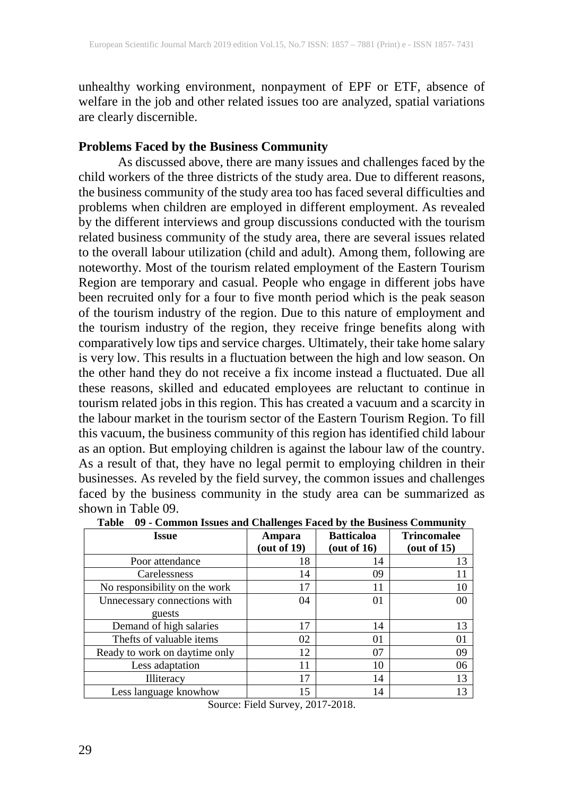unhealthy working environment, nonpayment of EPF or ETF, absence of welfare in the job and other related issues too are analyzed, spatial variations are clearly discernible.

#### **Problems Faced by the Business Community**

As discussed above, there are many issues and challenges faced by the child workers of the three districts of the study area. Due to different reasons, the business community of the study area too has faced several difficulties and problems when children are employed in different employment. As revealed by the different interviews and group discussions conducted with the tourism related business community of the study area, there are several issues related to the overall labour utilization (child and adult). Among them, following are noteworthy. Most of the tourism related employment of the Eastern Tourism Region are temporary and casual. People who engage in different jobs have been recruited only for a four to five month period which is the peak season of the tourism industry of the region. Due to this nature of employment and the tourism industry of the region, they receive fringe benefits along with comparatively low tips and service charges. Ultimately, their take home salary is very low. This results in a fluctuation between the high and low season. On the other hand they do not receive a fix income instead a fluctuated. Due all these reasons, skilled and educated employees are reluctant to continue in tourism related jobs in this region. This has created a vacuum and a scarcity in the labour market in the tourism sector of the Eastern Tourism Region. To fill this vacuum, the business community of this region has identified child labour as an option. But employing children is against the labour law of the country. As a result of that, they have no legal permit to employing children in their businesses. As reveled by the field survey, the common issues and challenges faced by the business community in the study area can be summarized as shown in Table 09.

| <b>Issue</b>                  | -<br>Ampara<br>(out of 19) | <b>Batticaloa</b><br>(out of $16$ ) | <b>Trincomalee</b><br>(out of 15) |
|-------------------------------|----------------------------|-------------------------------------|-----------------------------------|
| Poor attendance               | 18                         | 14                                  | 13                                |
| Carelessness                  | 14                         | 09                                  | 11                                |
| No responsibility on the work | 17                         | 11                                  | 10                                |
| Unnecessary connections with  | 04                         | 01                                  | 00                                |
| guests                        |                            |                                     |                                   |
| Demand of high salaries       | 17                         | 14                                  | 13                                |
| Thefts of valuable items      | 02                         | 01                                  | 01                                |
| Ready to work on daytime only | 12                         | 07                                  | 09                                |
| Less adaptation               | 11                         | 10                                  | 06                                |
| Illiteracy                    | 17                         | 14                                  | 13                                |
| Less language knowhow         | 15                         | 14                                  | 13                                |

**Table 09 - Common Issues and Challenges Faced by the Business Community**

Source: Field Survey, 2017-2018.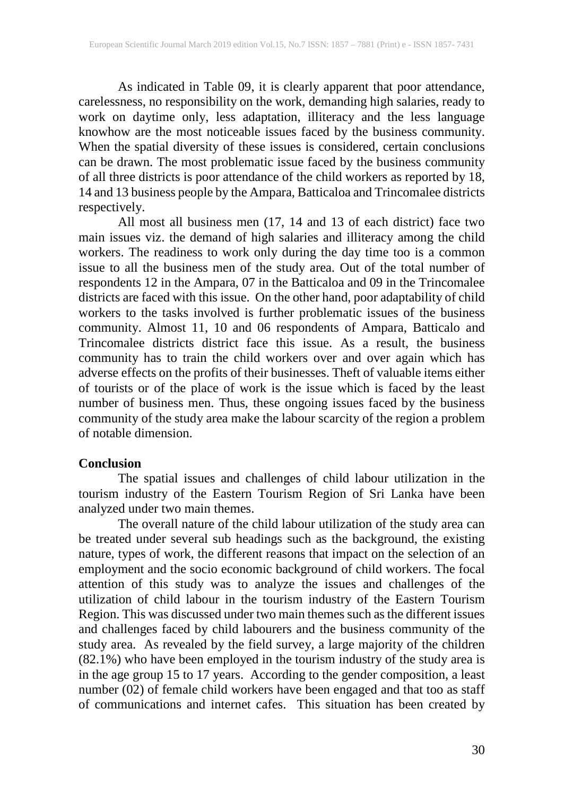As indicated in Table 09, it is clearly apparent that poor attendance, carelessness, no responsibility on the work, demanding high salaries, ready to work on daytime only, less adaptation, illiteracy and the less language knowhow are the most noticeable issues faced by the business community. When the spatial diversity of these issues is considered, certain conclusions can be drawn. The most problematic issue faced by the business community of all three districts is poor attendance of the child workers as reported by 18, 14 and 13 business people by the Ampara, Batticaloa and Trincomalee districts respectively.

All most all business men (17, 14 and 13 of each district) face two main issues viz. the demand of high salaries and illiteracy among the child workers. The readiness to work only during the day time too is a common issue to all the business men of the study area. Out of the total number of respondents 12 in the Ampara, 07 in the Batticaloa and 09 in the Trincomalee districts are faced with this issue. On the other hand, poor adaptability of child workers to the tasks involved is further problematic issues of the business community. Almost 11, 10 and 06 respondents of Ampara, Batticalo and Trincomalee districts district face this issue. As a result, the business community has to train the child workers over and over again which has adverse effects on the profits of their businesses. Theft of valuable items either of tourists or of the place of work is the issue which is faced by the least number of business men. Thus, these ongoing issues faced by the business community of the study area make the labour scarcity of the region a problem of notable dimension.

#### **Conclusion**

The spatial issues and challenges of child labour utilization in the tourism industry of the Eastern Tourism Region of Sri Lanka have been analyzed under two main themes.

The overall nature of the child labour utilization of the study area can be treated under several sub headings such as the background, the existing nature, types of work, the different reasons that impact on the selection of an employment and the socio economic background of child workers. The focal attention of this study was to analyze the issues and challenges of the utilization of child labour in the tourism industry of the Eastern Tourism Region. This was discussed under two main themes such as the different issues and challenges faced by child labourers and the business community of the study area. As revealed by the field survey, a large majority of the children (82.1%) who have been employed in the tourism industry of the study area is in the age group 15 to 17 years. According to the gender composition, a least number (02) of female child workers have been engaged and that too as staff of communications and internet cafes. This situation has been created by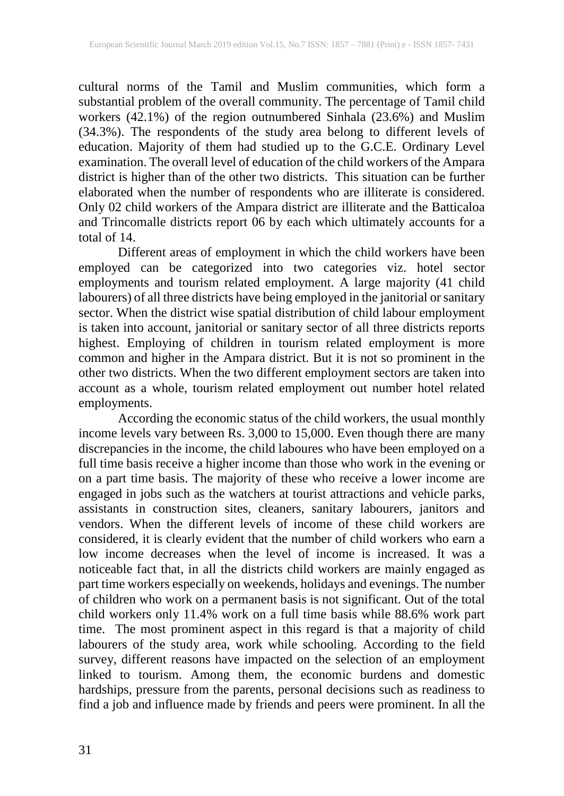cultural norms of the Tamil and Muslim communities, which form a substantial problem of the overall community. The percentage of Tamil child workers (42.1%) of the region outnumbered Sinhala (23.6%) and Muslim (34.3%). The respondents of the study area belong to different levels of education. Majority of them had studied up to the G.C.E. Ordinary Level examination. The overall level of education of the child workers of the Ampara district is higher than of the other two districts. This situation can be further elaborated when the number of respondents who are illiterate is considered. Only 02 child workers of the Ampara district are illiterate and the Batticaloa and Trincomalle districts report 06 by each which ultimately accounts for a total of 14.

Different areas of employment in which the child workers have been employed can be categorized into two categories viz. hotel sector employments and tourism related employment. A large majority (41 child labourers) of all three districts have being employed in the janitorial or sanitary sector. When the district wise spatial distribution of child labour employment is taken into account, janitorial or sanitary sector of all three districts reports highest. Employing of children in tourism related employment is more common and higher in the Ampara district. But it is not so prominent in the other two districts. When the two different employment sectors are taken into account as a whole, tourism related employment out number hotel related employments.

According the economic status of the child workers, the usual monthly income levels vary between Rs. 3,000 to 15,000. Even though there are many discrepancies in the income, the child laboures who have been employed on a full time basis receive a higher income than those who work in the evening or on a part time basis. The majority of these who receive a lower income are engaged in jobs such as the watchers at tourist attractions and vehicle parks, assistants in construction sites, cleaners, sanitary labourers, janitors and vendors. When the different levels of income of these child workers are considered, it is clearly evident that the number of child workers who earn a low income decreases when the level of income is increased. It was a noticeable fact that, in all the districts child workers are mainly engaged as part time workers especially on weekends, holidays and evenings. The number of children who work on a permanent basis is not significant. Out of the total child workers only 11.4% work on a full time basis while 88.6% work part time. The most prominent aspect in this regard is that a majority of child labourers of the study area, work while schooling. According to the field survey, different reasons have impacted on the selection of an employment linked to tourism. Among them, the economic burdens and domestic hardships, pressure from the parents, personal decisions such as readiness to find a job and influence made by friends and peers were prominent. In all the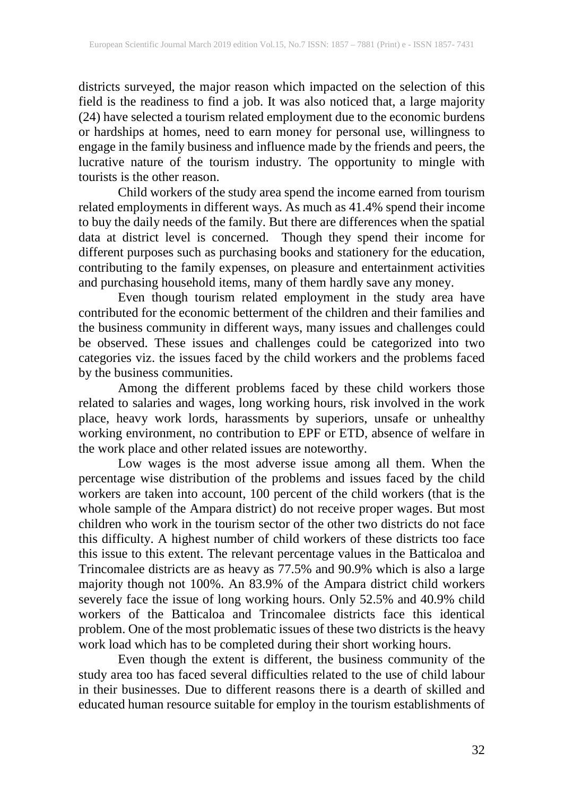districts surveyed, the major reason which impacted on the selection of this field is the readiness to find a job. It was also noticed that, a large majority (24) have selected a tourism related employment due to the economic burdens or hardships at homes, need to earn money for personal use, willingness to engage in the family business and influence made by the friends and peers, the lucrative nature of the tourism industry. The opportunity to mingle with tourists is the other reason.

Child workers of the study area spend the income earned from tourism related employments in different ways. As much as 41.4% spend their income to buy the daily needs of the family. But there are differences when the spatial data at district level is concerned. Though they spend their income for different purposes such as purchasing books and stationery for the education, contributing to the family expenses, on pleasure and entertainment activities and purchasing household items, many of them hardly save any money.

Even though tourism related employment in the study area have contributed for the economic betterment of the children and their families and the business community in different ways, many issues and challenges could be observed. These issues and challenges could be categorized into two categories viz. the issues faced by the child workers and the problems faced by the business communities.

Among the different problems faced by these child workers those related to salaries and wages, long working hours, risk involved in the work place, heavy work lords, harassments by superiors, unsafe or unhealthy working environment, no contribution to EPF or ETD, absence of welfare in the work place and other related issues are noteworthy.

Low wages is the most adverse issue among all them. When the percentage wise distribution of the problems and issues faced by the child workers are taken into account, 100 percent of the child workers (that is the whole sample of the Ampara district) do not receive proper wages. But most children who work in the tourism sector of the other two districts do not face this difficulty. A highest number of child workers of these districts too face this issue to this extent. The relevant percentage values in the Batticaloa and Trincomalee districts are as heavy as 77.5% and 90.9% which is also a large majority though not 100%. An 83.9% of the Ampara district child workers severely face the issue of long working hours. Only 52.5% and 40.9% child workers of the Batticaloa and Trincomalee districts face this identical problem. One of the most problematic issues of these two districts is the heavy work load which has to be completed during their short working hours.

Even though the extent is different, the business community of the study area too has faced several difficulties related to the use of child labour in their businesses. Due to different reasons there is a dearth of skilled and educated human resource suitable for employ in the tourism establishments of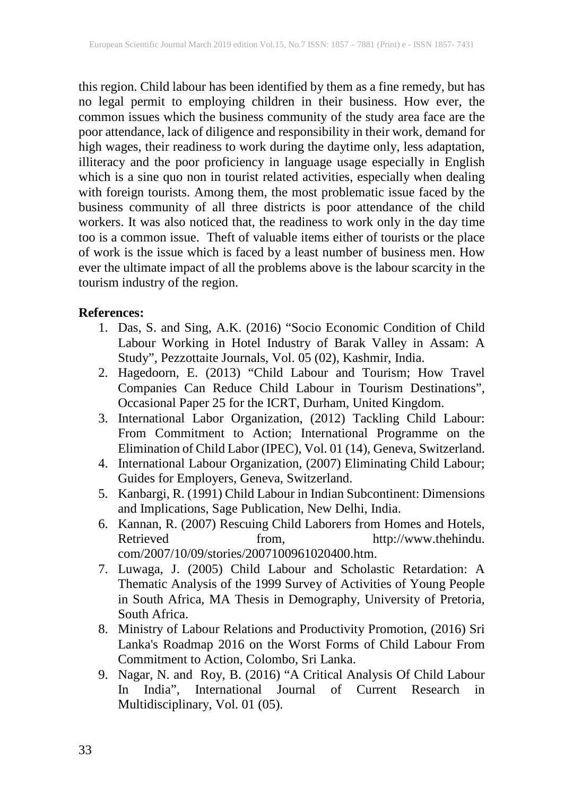this region. Child labour has been identified by them as a fine remedy, but has no legal permit to employing children in their business. How ever, the common issues which the business community of the study area face are the poor attendance, lack of diligence and responsibility in their work, demand for high wages, their readiness to work during the daytime only, less adaptation, illiteracy and the poor proficiency in language usage especially in English which is a sine quo non in tourist related activities, especially when dealing with foreign tourists. Among them, the most problematic issue faced by the business community of all three districts is poor attendance of the child workers. It was also noticed that, the readiness to work only in the day time too is a common issue. Theft of valuable items either of tourists or the place of work is the issue which is faced by a least number of business men. How ever the ultimate impact of all the problems above is the labour scarcity in the tourism industry of the region.

### **References:**

- 1. Das, S. and Sing, A.K. (2016) "Socio Economic Condition of Child Labour Working in Hotel Industry of Barak Valley in Assam: A Study", Pezzottaite Journals, Vol. 05 (02), Kashmir, India.
- 2. Hagedoorn, E. (2013) "Child Labour and Tourism; How Travel Companies Can Reduce Child Labour in Tourism Destinations", Occasional Paper 25 for the ICRT, Durham, United Kingdom.
- 3. International Labor Organization, (2012) Tackling Child Labour: From Commitment to Action; International Programme on the Elimination of Child Labor (IPEC), Vol. 01 (14), Geneva, Switzerland.
- 4. International Labour Organization, (2007) Eliminating Child Labour; Guides for Employers, Geneva, Switzerland.
- 5. Kanbargi, R. (1991) Child Labour in Indian Subcontinent: Dimensions and Implications, Sage Publication, New Delhi, India.
- 6. Kannan, R. (2007) Rescuing Child Laborers from Homes and Hotels, Retrieved from, http://www.thehindu. com/2007/10/09/stories/2007100961020400.htm.
- 7. Luwaga, J. (2005) Child Labour and Scholastic Retardation: A Thematic Analysis of the 1999 Survey of Activities of Young People in South Africa, MA Thesis in Demography, University of Pretoria, South Africa.
- 8. Ministry of Labour Relations and Productivity Promotion, (2016) Sri Lanka's Roadmap 2016 on the Worst Forms of Child Labour From Commitment to Action, Colombo, Sri Lanka.
- 9. Nagar, N. and Roy, B. (2016) "A Critical Analysis Of Child Labour In India", International Journal of Current Research in Multidisciplinary, Vol. 01 (05).